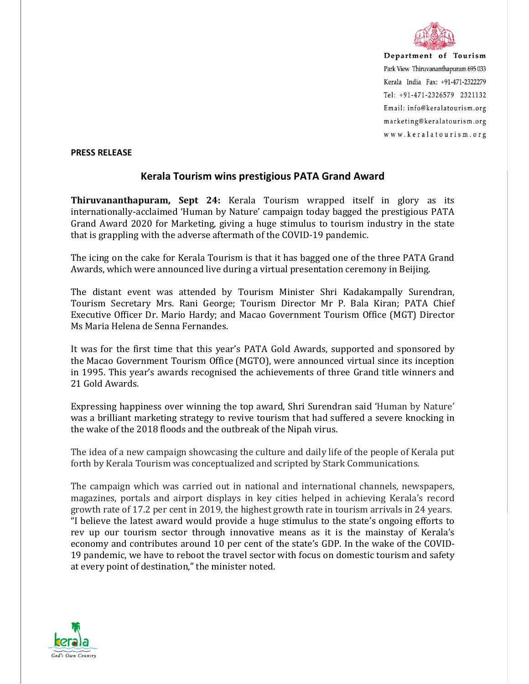

Department of Tourism Park View Thiruvananthapuram 695 033 Kerala India Fax: +91-471-2322279  $Tel: +91-471-2326579$  2321132 Email: info@keralatourism.org marketing@keralatourism.org www.keralatourism.org

## **PRESS RELEASE**

## **Kerala Tourism wins prestigious PATA Grand Award**

**Thiruvananthapuram, Sept 24:** Kerala Tourism wrapped itself in glory as its internationally-acclaimed 'Human by Nature' campaign today bagged the prestigious PATA Grand Award 2020 for Marketing, giving a huge stimulus to tourism industry in the state that is grappling with the adverse aftermath of the COVID-19 pandemic.

The icing on the cake for Kerala Tourism is that it has bagged one of the three PATA Grand Awards, which were announced live during a virtual presentation ceremony in Beijing.

The distant event was attended by Tourism Minister Shri Kadakampally Surendran, Tourism Secretary Mrs. Rani George; Tourism Director Mr P. Bala Kiran; PATA Chief Executive Officer Dr. Mario Hardy; and Macao Government Tourism Office (MGT) Director Ms Maria Helena de Senna Fernandes.

It was for the first time that this year's PATA Gold Awards, supported and sponsored by the Macao Government Tourism Office (MGTO), were announced virtual since its inception in 1995. This year's awards recognised the achievements of three Grand title winners and 21 Gold Awards.

Expressing happiness over winning the top award, Shri Surendran said 'Human by Nature' was a brilliant marketing strategy to revive tourism that had suffered a severe knocking in the wake of the 2018 floods and the outbreak of the Nipah virus.

The idea of a new campaign showcasing the culture and daily life of the people of Kerala put forth by Kerala Tourism was conceptualized and scripted by Stark Communications.

The campaign which was carried out in national and international channels, newspapers, magazines, portals and airport displays in key cities helped in achieving Kerala's record growth rate of 17.2 per cent in 2019, the highest growth rate in tourism arrivals in 24 years. "I believe the latest award would provide a huge stimulus to the state's ongoing efforts to rev up our tourism sector through innovative means as it is the mainstay of Kerala's economy and contributes around 10 per cent of the state's GDP. In the wake of the COVID-19 pandemic, we have to reboot the travel sector with focus on domestic tourism and safety at every point of destination," the minister noted.